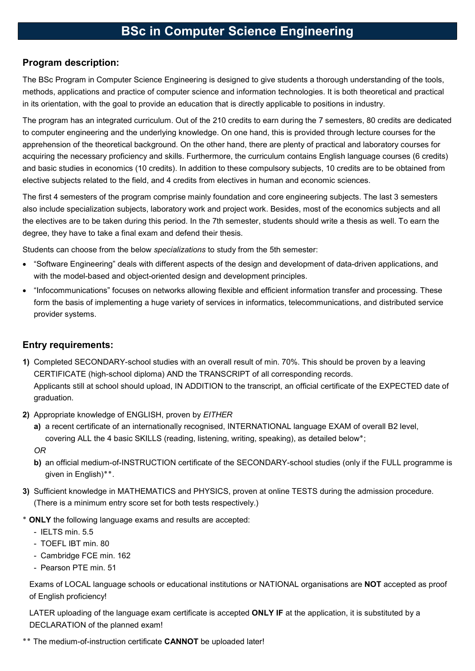# BSc in Computer Science Engineering

#### Program description:

The BSc Program in Computer Science Engineering is designed to give students a thorough understanding of the tools, methods, applications and practice of computer science and information technologies. It is both theoretical and practical in its orientation, with the goal to provide an education that is directly applicable to positions in industry.

The program has an integrated curriculum. Out of the 210 credits to earn during the 7 semesters, 80 credits are dedicated to computer engineering and the underlying knowledge. On one hand, this is provided through lecture courses for the apprehension of the theoretical background. On the other hand, there are plenty of practical and laboratory courses for acquiring the necessary proficiency and skills. Furthermore, the curriculum contains English language courses (6 credits) and basic studies in economics (10 credits). In addition to these compulsory subjects, 10 credits are to be obtained from elective subjects related to the field, and 4 credits from electives in human and economic sciences.

The first 4 semesters of the program comprise mainly foundation and core engineering subjects. The last 3 semesters also include specialization subjects, laboratory work and project work. Besides, most of the economics subjects and all the electives are to be taken during this period. In the 7th semester, students should write a thesis as well. To earn the degree, they have to take a final exam and defend their thesis.

Students can choose from the below specializations to study from the 5th semester:

- "Software Engineering" deals with different aspects of the design and development of data-driven applications, and with the model-based and object-oriented design and development principles.
- "Infocommunications" focuses on networks allowing flexible and efficient information transfer and processing. These form the basis of implementing a huge variety of services in informatics, telecommunications, and distributed service provider systems.

### Entry requirements:

- 1) Completed SECONDARY-school studies with an overall result of min. 70%. This should be proven by a leaving CERTIFICATE (high-school diploma) AND the TRANSCRIPT of all corresponding records. Applicants still at school should upload, IN ADDITION to the transcript, an official certificate of the EXPECTED date of graduation.
- 2) Appropriate knowledge of ENGLISH, proven by EITHER
	- a) a recent certificate of an internationally recognised, INTERNATIONAL language EXAM of overall B2 level, covering ALL the 4 basic SKILLS (reading, listening, writing, speaking), as detailed below٭; OR
	- b) an official medium-of-INSTRUCTION certificate of the SECONDARY-school studies (only if the FULL programme is given in English)٭٭.
- 3) Sufficient knowledge in MATHEMATICS and PHYSICS, proven at online TESTS during the admission procedure. (There is a minimum entry score set for both tests respectively.)
- ٭ ONLY the following language exams and results are accepted:
	- IELTS min. 5.5
	- TOEFL IBT min. 80
	- Cambridge FCE min. 162
	- Pearson PTE min. 51

Exams of LOCAL language schools or educational institutions or NATIONAL organisations are NOT accepted as proof of English proficiency!

LATER uploading of the language exam certificate is accepted ONLY IF at the application, it is substituted by a DECLARATION of the planned exam!

\*\* The medium-of-instruction certificate CANNOT be uploaded later!